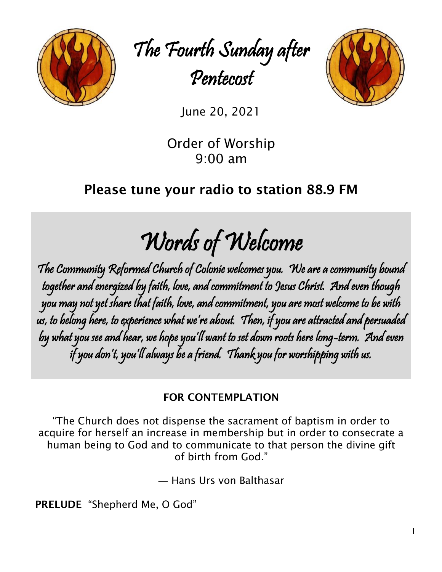

The Fourth Sunday after Pentecost



June 20, 2021

Order of Worship 9:00 am

# Please tune your radio to station 88.9 FM

Words of Welcome

The Community Reformed Church of Colonie welcomes you. We are a community bound together and energized by faith, love, and commitment to Jesus Christ. And even though you may not yet share that faith, love, and commitment, you are most welcome to be with us, to belong here, to experience what we're about. Then, if you are attracted and persuaded by what you see and hear, we hope you'll want to set down roots here long-term. And even if you don't, you'll always be a friend. Thank you for worshipping with us.

# FOR CONTEMPLATION

"The Church does not dispense the sacrament of baptism in order to acquire for herself an increase in membership but in order to consecrate a human being to God and to communicate to that person the divine gift of birth from God."

― [Hans Urs von Balthasar](https://www.goodreads.com/author/show/30796.Hans_Urs_von_Balthasar)

PRELUDE "Shepherd Me, O God"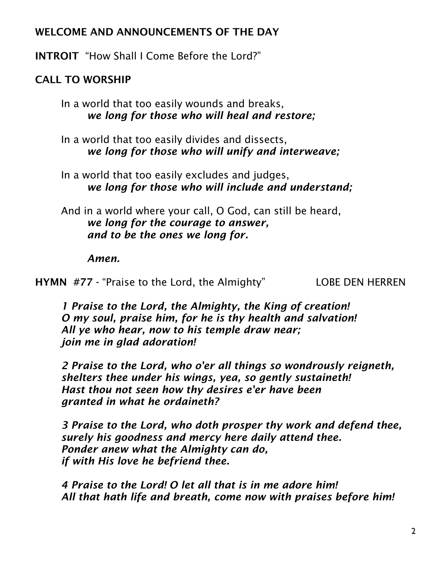## WELCOME AND ANNOUNCEMENTS OF THE DAY

INTROIT "How Shall I Come Before the Lord?"

## CALL TO WORSHIP

In a world that too easily wounds and breaks, *we long for those who will heal and restore;*

In a world that too easily divides and dissects, *we long for those who will unify and interweave;*

In a world that too easily excludes and judges, *we long for those who will include and understand;*

And in a world where your call, O God, can still be heard, *we long for the courage to answer, and to be the ones we long for.*

*Amen.*

HYMN #77 - "Praise to the Lord, the Almighty" LOBE DEN HERREN

*1 Praise to the Lord, the Almighty, the King of creation! O my soul, praise him, for he is thy health and salvation! All ye who hear, now to his temple draw near; join me in glad adoration!*

*2 Praise to the Lord, who o'er all things so wondrously reigneth, shelters thee under his wings, yea, so gently sustaineth! Hast thou not seen how thy desires e'er have been granted in what he ordaineth?*

*3 Praise to the Lord, who doth prosper thy work and defend thee, surely his goodness and mercy here daily attend thee. Ponder anew what the Almighty can do, if with His love he befriend thee.*

*4 Praise to the Lord! O let all that is in me adore him! All that hath life and breath, come now with praises before him!*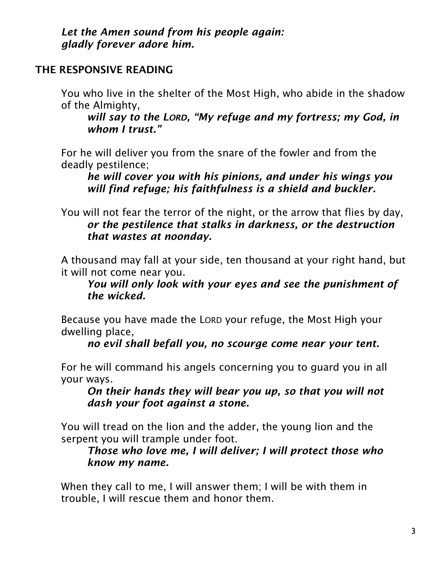*Let the Amen sound from his people again: gladly forever adore him.*

## THE RESPONSIVE READING

You who live in the shelter of the Most High, who abide in the shadow of the Almighty,

*will say to the LORD, "My refuge and my fortress; my God, in whom I trust."* 

For he will deliver you from the snare of the fowler and from the deadly pestilence;

*he will cover you with his pinions, and under his wings you will find refuge; his faithfulness is a shield and buckler.* 

You will not fear the terror of the night, or the arrow that flies by day, *or the pestilence that stalks in darkness, or the destruction that wastes at noonday.* 

A thousand may fall at your side, ten thousand at your right hand, but it will not come near you.

*You will only look with your eyes and see the punishment of the wicked.* 

Because you have made the LORD your refuge, the Most High your dwelling place,

*no evil shall befall you, no scourge come near your tent.* 

For he will command his angels concerning you to guard you in all your ways.

*On their hands they will bear you up, so that you will not dash your foot against a stone.* 

You will tread on the lion and the adder, the young lion and the serpent you will trample under foot.

*Those who love me, I will deliver; I will protect those who know my name.* 

When they call to me, I will answer them; I will be with them in trouble, I will rescue them and honor them.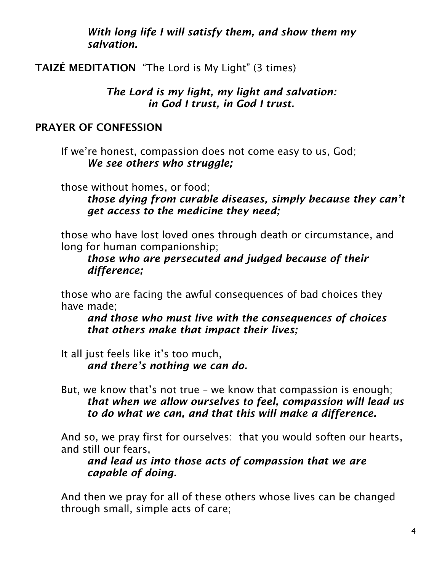*With long life I will satisfy them, and show them my salvation.* 

TAIZÉ MEDITATION "The Lord is My Light" (3 times)

*The Lord is my light, my light and salvation: in God I trust, in God I trust.*

## PRAYER OF CONFESSION

If we're honest, compassion does not come easy to us, God; *We see others who struggle;*

those without homes, or food;

*those dying from curable diseases, simply because they can't get access to the medicine they need;*

those who have lost loved ones through death or circumstance, and long for human companionship;

*those who are persecuted and judged because of their difference;*

those who are facing the awful consequences of bad choices they have made;

*and those who must live with the consequences of choices that others make that impact their lives;*

It all just feels like it's too much, *and there's nothing we can do.*

But, we know that's not true – we know that compassion is enough; *that when we allow ourselves to feel, compassion will lead us to do what we can, and that this will make a difference.*

And so, we pray first for ourselves: that you would soften our hearts, and still our fears,

*and lead us into those acts of compassion that we are capable of doing.*

And then we pray for all of these others whose lives can be changed through small, simple acts of care;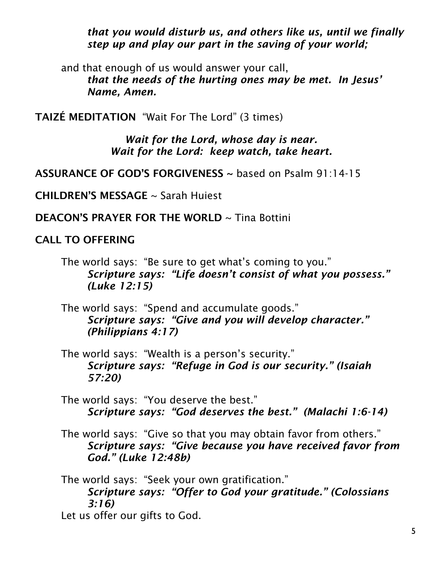*that you would disturb us, and others like us, until we finally step up and play our part in the saving of your world;*

and that enough of us would answer your call, *that the needs of the hurting ones may be met. In Jesus' Name, Amen.*

TAIZÉ MEDITATION "Wait For The Lord" (3 times)

*Wait for the Lord, whose day is near. Wait for the Lord: keep watch, take heart.*

ASSURANCE OF GOD'S FORGIVENESS  $\sim$  based on Psalm 91:14-15

CHILDREN'S MESSAGE ~ Sarah Huiest

DEACON'S PRAYER FOR THE WORLD ~ Tina Bottini

CALL TO OFFERING

The world says: "Be sure to get what's coming to you." *Scripture says: "Life doesn't consist of what you possess." (Luke 12:15)*

The world says: "Spend and accumulate goods." *Scripture says: "Give and you will develop character." (Philippians 4:17)*

The world says: "Wealth is a person's security." *Scripture says: "Refuge in God is our security." (Isaiah 57:20)*

The world says: "You deserve the best." *Scripture says: "God deserves the best." (Malachi 1:6-14)*

The world says: "Give so that you may obtain favor from others." *Scripture says: "Give because you have received favor from God." (Luke 12:48b)*

The world says: "Seek your own gratification." *Scripture says: "Offer to God your gratitude." (Colossians 3:16)* Let us offer our gifts to God.

5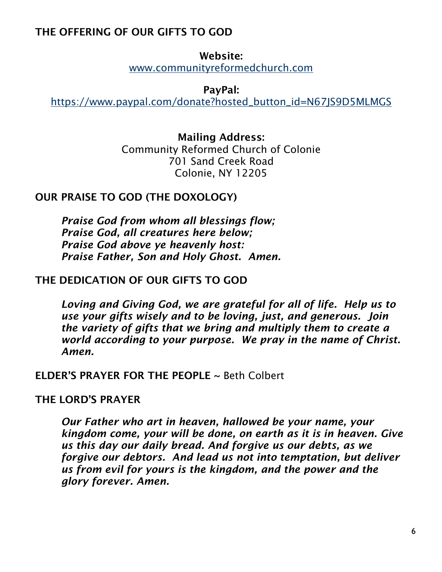## THE OFFERING OF OUR GIFTS TO GOD

Website: [www.communityreformedchurch.com](http://www.communityreformedchurch.com/)

PayPal:

[https://www.paypal.com/donate?hosted\\_button\\_id=N67JS9D5MLMGS](https://www.paypal.com/donate?hosted_button_id=N67JS9D5MLMGS)

### Mailing Address:

Community Reformed Church of Colonie 701 Sand Creek Road Colonie, NY 12205

### OUR PRAISE TO GOD (THE DOXOLOGY)

*Praise God from whom all blessings flow; Praise God, all creatures here below; Praise God above ye heavenly host: Praise Father, Son and Holy Ghost. Amen.*

#### THE DEDICATION OF OUR GIFTS TO GOD

*Loving and Giving God, we are grateful for all of life. Help us to use your gifts wisely and to be loving, just, and generous. Join the variety of gifts that we bring and multiply them to create a world according to your purpose. We pray in the name of Christ. Amen.*

#### ELDER'S PRAYER FOR THE PEOPLE ~ Beth Colbert

#### THE LORD'S PRAYER

*Our Father who art in heaven, hallowed be your name, your kingdom come, your will be done, on earth as it is in heaven. Give us this day our daily bread. And forgive us our debts, as we forgive our debtors. And lead us not into temptation, but deliver us from evil for yours is the kingdom, and the power and the glory forever. Amen.*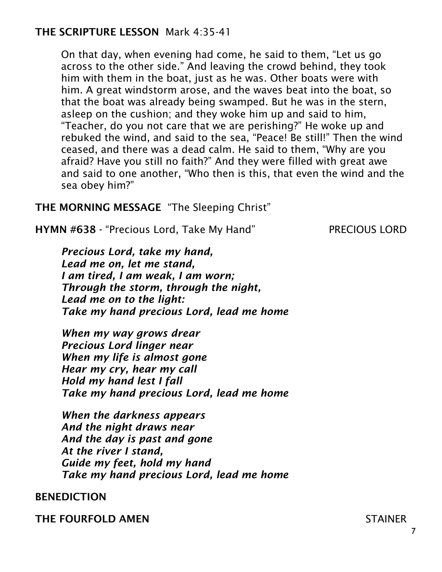## THE SCRIPTURE LESSON Mark 4:35-41

On that day, when evening had come, he said to them, "Let us go across to the other side." And leaving the crowd behind, they took him with them in the boat, just as he was. Other boats were with him. A great windstorm arose, and the waves beat into the boat, so that the boat was already being swamped. But he was in the stern, asleep on the cushion; and they woke him up and said to him, "Teacher, do you not care that we are perishing?" He woke up and rebuked the wind, and said to the sea, "Peace! Be still!" Then the wind ceased, and there was a dead calm. He said to them, "Why are you afraid? Have you still no faith?" And they were filled with great awe and said to one another, "Who then is this, that even the wind and the sea obey him?"

#### THE MORNING MESSAGE "The Sleeping Christ"

HYMN #638 - "Precious Lord, Take My Hand" PRECIOUS LORD

*Precious Lord, take my hand, Lead me on, let me stand, I am tired, I am weak, I am worn; Through the storm, through the night, Lead me on to the light: Take my hand precious Lord, lead me home*

*When my way grows drear Precious Lord linger near When my life is almost gone Hear my cry, hear my call Hold my hand lest I fall Take my hand precious Lord, lead me home* 

*When the darkness appears And the night draws near And the day is past and gone At the river I stand, Guide my feet, hold my hand Take my hand precious Lord, lead me home*

#### BENEDICTION

THE FOURFOLD AMEN STAINER